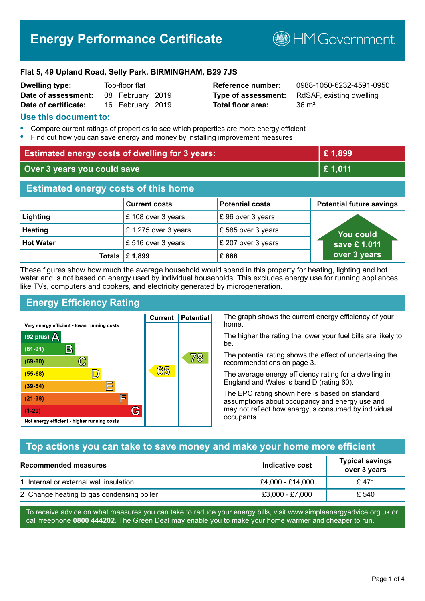# **Energy Performance Certificate**

**B**HMGovernment

#### **Flat 5, 49 Upland Road, Selly Park, BIRMINGHAM, B29 7JS**

| <b>Dwelling type:</b> | Top-floor flat |                  |  |
|-----------------------|----------------|------------------|--|
| Date of assessment:   |                | 08 February 2019 |  |
| Date of certificate:  |                | 16 February 2019 |  |

# **Total floor area:** 36 m<sup>2</sup>

**Reference number:** 0988-1050-6232-4591-0950 **Type of assessment:** RdSAP, existing dwelling

#### **Use this document to:**

- **•** Compare current ratings of properties to see which properties are more energy efficient
- **•** Find out how you can save energy and money by installing improvement measures

| <b>Estimated energy costs of dwelling for 3 years:</b> |                           | £1,899                 |                                 |
|--------------------------------------------------------|---------------------------|------------------------|---------------------------------|
| Over 3 years you could save                            |                           | £1,011                 |                                 |
| <b>Estimated energy costs of this home</b>             |                           |                        |                                 |
|                                                        | <b>Current costs</b>      | <b>Potential costs</b> | <b>Potential future savings</b> |
| Lighting                                               | £108 over 3 years         | £96 over 3 years       |                                 |
| <b>Heating</b>                                         | £1,275 over 3 years       | £585 over 3 years      | <b>You could</b>                |
| <b>Hot Water</b>                                       | £ 516 over 3 years        | £ 207 over 3 years     | save £1,011                     |
|                                                        | Totals $\mathsf{E}$ 1,899 | £888                   | over 3 years                    |

These figures show how much the average household would spend in this property for heating, lighting and hot water and is not based on energy used by individual households. This excludes energy use for running appliances like TVs, computers and cookers, and electricity generated by microgeneration.

**Current | Potential** 

65

# **Energy Efficiency Rating**

 $\mathbb{C}$ 

 $\mathbb{D}$ 

E

庐

G

Very energy efficient - lower running costs

R

Not energy efficient - higher running costs

(92 plus)  $\Delta$ 

 $(81 - 91)$ 

 $(69 - 80)$ 

 $(55-68)$  $(39-54)$ 

 $(21-38)$ 

 $(1-20)$ 

The graph shows the current energy efficiency of your home.

The higher the rating the lower your fuel bills are likely to be.

The potential rating shows the effect of undertaking the recommendations on page 3.

The average energy efficiency rating for a dwelling in England and Wales is band D (rating 60).

The EPC rating shown here is based on standard assumptions about occupancy and energy use and may not reflect how energy is consumed by individual occupants.

# **Top actions you can take to save money and make your home more efficient**

78

| Recommended measures                      | Indicative cost  | <b>Typical savings</b><br>over 3 years |
|-------------------------------------------|------------------|----------------------------------------|
| 1 Internal or external wall insulation    | £4,000 - £14,000 | £471                                   |
| 2 Change heating to gas condensing boiler | £3,000 - £7,000  | £ 540                                  |

To receive advice on what measures you can take to reduce your energy bills, visit www.simpleenergyadvice.org.uk or call freephone **0800 444202**. The Green Deal may enable you to make your home warmer and cheaper to run.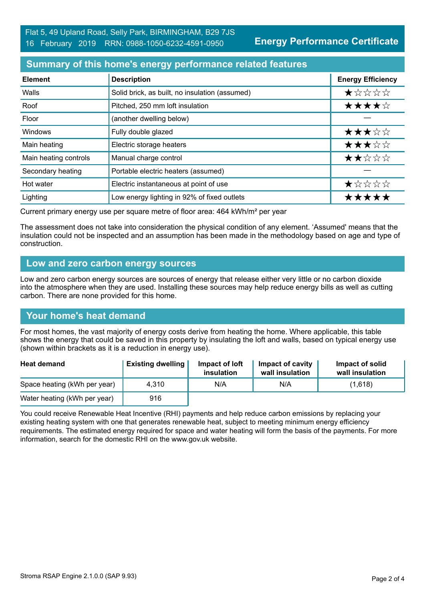# **Summary of this home's energy performance related features**

| <b>Element</b>        | <b>Description</b>                             | <b>Energy Efficiency</b> |
|-----------------------|------------------------------------------------|--------------------------|
| Walls                 | Solid brick, as built, no insulation (assumed) | $\star$ * * * *          |
| Roof                  | Pitched, 250 mm loft insulation                | ★★★★☆                    |
| Floor                 | (another dwelling below)                       |                          |
| <b>Windows</b>        | Fully double glazed                            | ★★★☆☆                    |
| Main heating          | Electric storage heaters                       | ★★★☆☆                    |
| Main heating controls | Manual charge control                          | ★★☆☆☆                    |
| Secondary heating     | Portable electric heaters (assumed)            |                          |
| Hot water             | Electric instantaneous at point of use         | ★☆☆☆☆                    |
| Lighting              | Low energy lighting in 92% of fixed outlets    | *****                    |

Current primary energy use per square metre of floor area: 464 kWh/m² per year

The assessment does not take into consideration the physical condition of any element. 'Assumed' means that the insulation could not be inspected and an assumption has been made in the methodology based on age and type of construction.

#### **Low and zero carbon energy sources**

Low and zero carbon energy sources are sources of energy that release either very little or no carbon dioxide into the atmosphere when they are used. Installing these sources may help reduce energy bills as well as cutting carbon. There are none provided for this home.

#### **Your home's heat demand**

For most homes, the vast majority of energy costs derive from heating the home. Where applicable, this table shows the energy that could be saved in this property by insulating the loft and walls, based on typical energy use (shown within brackets as it is a reduction in energy use).

| <b>Heat demand</b>           | <b>Existing dwelling</b> | Impact of loft<br>insulation | Impact of cavity<br>wall insulation | Impact of solid<br>wall insulation |
|------------------------------|--------------------------|------------------------------|-------------------------------------|------------------------------------|
| Space heating (kWh per year) | 4.310                    | N/A                          | N/A                                 | (1,618)                            |
| Water heating (kWh per year) | 916                      |                              |                                     |                                    |

You could receive Renewable Heat Incentive (RHI) payments and help reduce carbon emissions by replacing your existing heating system with one that generates renewable heat, subject to meeting minimum energy efficiency requirements. The estimated energy required for space and water heating will form the basis of the payments. For more information, search for the domestic RHI on the www.gov.uk website.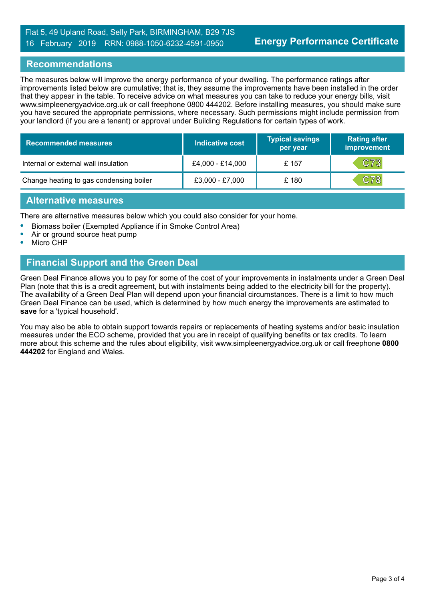#### Flat 5, 49 Upland Road, Selly Park, BIRMINGHAM, B29 7JS 16 February 2019 RRN: 0988-1050-6232-4591-0950

#### **Recommendations**

The measures below will improve the energy performance of your dwelling. The performance ratings after improvements listed below are cumulative; that is, they assume the improvements have been installed in the order that they appear in the table. To receive advice on what measures you can take to reduce your energy bills, visit www.simpleenergyadvice.org.uk or call freephone 0800 444202. Before installing measures, you should make sure you have secured the appropriate permissions, where necessary. Such permissions might include permission from your landlord (if you are a tenant) or approval under Building Regulations for certain types of work.

| <b>Recommended measures</b>             | Indicative cost  | <b>Typical savings</b><br>per year | <b>Rating after</b><br>improvement |
|-----------------------------------------|------------------|------------------------------------|------------------------------------|
| Internal or external wall insulation    | £4,000 - £14,000 | £ 157                              | C73                                |
| Change heating to gas condensing boiler | £3,000 - £7,000  | £180                               | C78                                |

#### **Alternative measures**

There are alternative measures below which you could also consider for your home.

- **•** Biomass boiler (Exempted Appliance if in Smoke Control Area)
- **•** Air or ground source heat pump
- **•** Micro CHP

# **Financial Support and the Green Deal**

Green Deal Finance allows you to pay for some of the cost of your improvements in instalments under a Green Deal Plan (note that this is a credit agreement, but with instalments being added to the electricity bill for the property). The availability of a Green Deal Plan will depend upon your financial circumstances. There is a limit to how much Green Deal Finance can be used, which is determined by how much energy the improvements are estimated to **save** for a 'typical household'.

You may also be able to obtain support towards repairs or replacements of heating systems and/or basic insulation measures under the ECO scheme, provided that you are in receipt of qualifying benefits or tax credits. To learn more about this scheme and the rules about eligibility, visit www.simpleenergyadvice.org.uk or call freephone **0800 444202** for England and Wales.